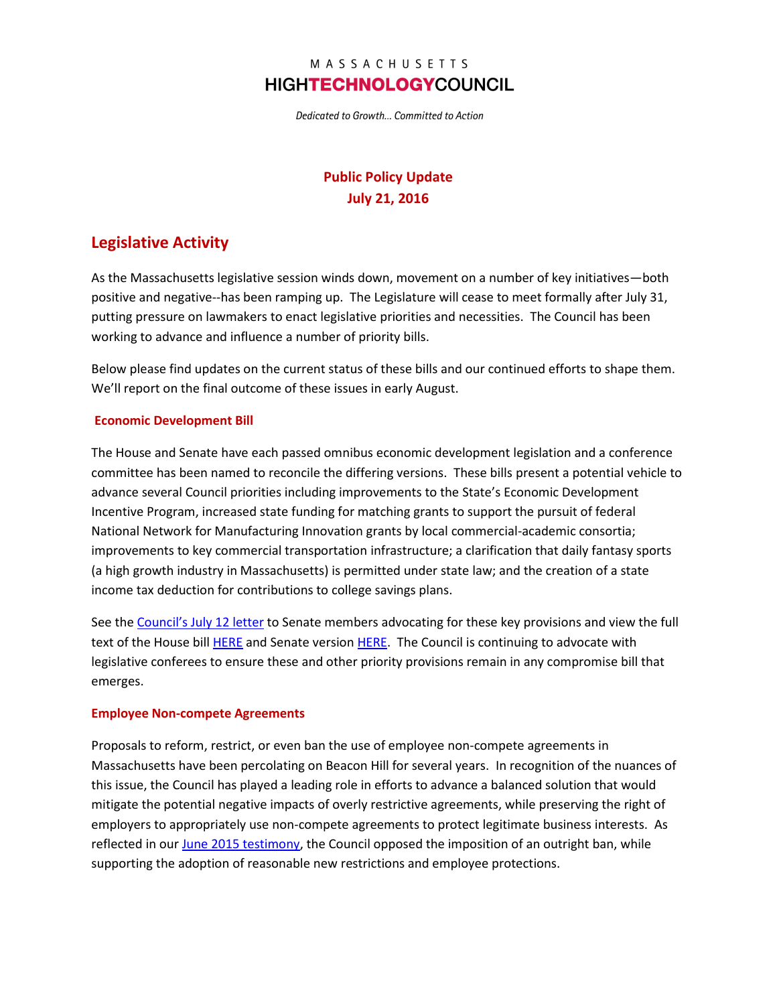## MASSACHUSETTS **HIGHTECHNOLOGYCOUNCIL**

Dedicated to Growth... Committed to Action

# **Public Policy Update July 21, 2016**

# **Legislative Activity**

As the Massachusetts legislative session winds down, movement on a number of key initiatives—both positive and negative--has been ramping up. The Legislature will cease to meet formally after July 31, putting pressure on lawmakers to enact legislative priorities and necessities. The Council has been working to advance and influence a number of priority bills.

Below please find updates on the current status of these bills and our continued efforts to shape them. We'll report on the final outcome of these issues in early August.

#### **Economic Development Bill**

The House and Senate have each passed omnibus economic development legislation and a conference committee has been named to reconcile the differing versions. These bills present a potential vehicle to advance several Council priorities including improvements to the State's Economic Development Incentive Program, increased state funding for matching grants to support the pursuit of federal National Network for Manufacturing Innovation grants by local commercial-academic consortia; improvements to key commercial transportation infrastructure; a clarification that daily fantasy sports (a high growth industry in Massachusetts) is permitted under state law; and the creation of a state income tax deduction for contributions to college savings plans.

See the [Council's July 12](http://www.mhtc.org/wp-content/uploads/2016/07/MHTC_Letter-to-Senate-re-Ec-Dev-Bill-7-12-16_FINAL.pdf) letter to Senate members advocating for these key provisions and view the full text of the House bil[l HERE](https://malegislature.gov/Bills/189/House/H4483/History) and Senate versio[n HERE.](https://malegislature.gov/Bills/189/Senate/S2435) The Council is continuing to advocate with legislative conferees to ensure these and other priority provisions remain in any compromise bill that emerges.

#### **Employee Non-compete Agreements**

Proposals to reform, restrict, or even ban the use of employee non-compete agreements in Massachusetts have been percolating on Beacon Hill for several years. In recognition of the nuances of this issue, the Council has played a leading role in efforts to advance a balanced solution that would mitigate the potential negative impacts of overly restrictive agreements, while preserving the right of employers to appropriately use non-compete agreements to protect legitimate business interests. As reflected in our June [2015 testimony,](http://www.mhtc.org/wp-content/uploads/2015/06/MHTC_Testimony_Non-Compete-Agreements-6.23.15_FINAL.pdf) the Council opposed the imposition of an outright ban, while supporting the adoption of reasonable new restrictions and employee protections.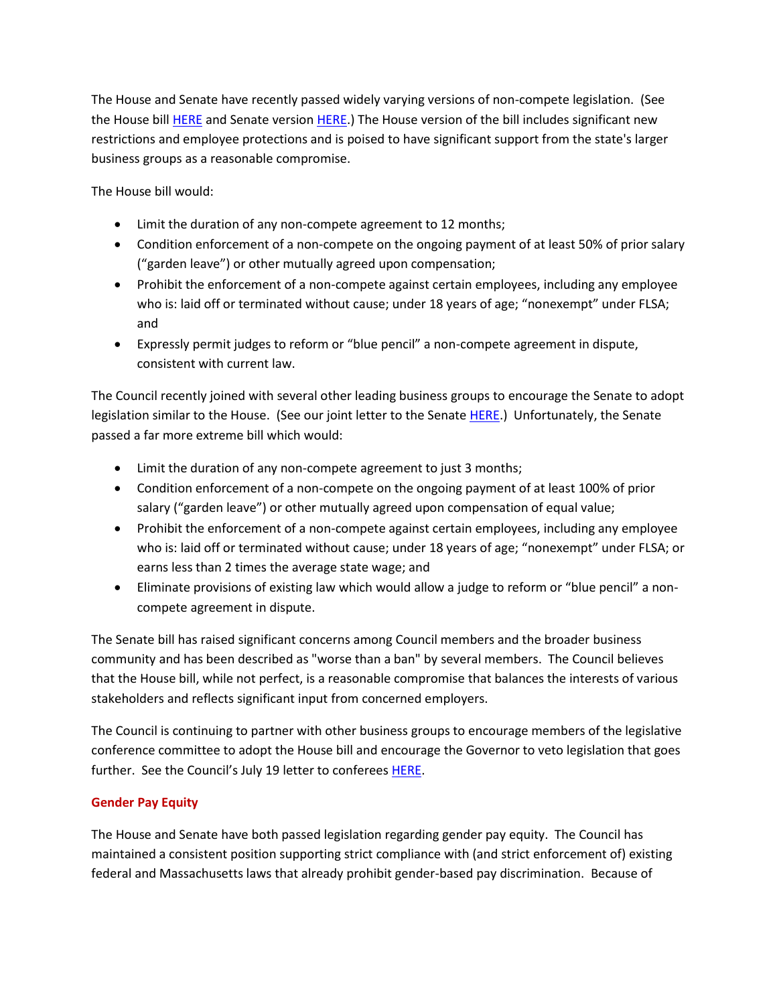The House and Senate have recently passed widely varying versions of non-compete legislation. (See the House bill [HERE](https://malegislature.gov/Bills/189/House/H4434/History) and Senate versio[n HERE.](https://malegislature.gov/Bills/189/Senate/S2418/History)) The House version of the bill includes significant new restrictions and employee protections and is poised to have significant support from the state's larger business groups as a reasonable compromise.

The House bill would:

- Limit the duration of any non-compete agreement to 12 months;
- Condition enforcement of a non-compete on the ongoing payment of at least 50% of prior salary ("garden leave") or other mutually agreed upon compensation;
- Prohibit the enforcement of a non-compete against certain employees, including any employee who is: laid off or terminated without cause; under 18 years of age; "nonexempt" under FLSA; and
- Expressly permit judges to reform or "blue pencil" a non-compete agreement in dispute, consistent with current law.

The Council recently joined with several other leading business groups to encourage the Senate to adopt legislation similar to the House. (See our joint letter to the Senate [HERE.](http://www.mhtc.org/wp-content/uploads/2016/07/Business-Coalition-Letter-to-Senate-on-Non-Compete-Legislation_07132016.pdf)) Unfortunately, the Senate passed a far more extreme bill which would:

- Limit the duration of any non-compete agreement to just 3 months;
- Condition enforcement of a non-compete on the ongoing payment of at least 100% of prior salary ("garden leave") or other mutually agreed upon compensation of equal value;
- Prohibit the enforcement of a non-compete against certain employees, including any employee who is: laid off or terminated without cause; under 18 years of age; "nonexempt" under FLSA; or earns less than 2 times the average state wage; and
- Eliminate provisions of existing law which would allow a judge to reform or "blue pencil" a noncompete agreement in dispute.

The Senate bill has raised significant concerns among Council members and the broader business community and has been described as "worse than a ban" by several members. The Council believes that the House bill, while not perfect, is a reasonable compromise that balances the interests of various stakeholders and reflects significant input from concerned employers.

The Council is continuing to partner with other business groups to encourage members of the legislative conference committee to adopt the House bill and encourage the Governor to veto legislation that goes further. See the Council's July 19 letter to conferee[s HERE.](http://www.mhtc.org/wp-content/uploads/2016/07/Coalition-Letter-on-Non-Compete-Legislation_FINAL_07192016.pdf)

## **Gender Pay Equity**

The House and Senate have both passed legislation regarding gender pay equity. The Council has maintained a consistent position supporting strict compliance with (and strict enforcement of) existing federal and Massachusetts laws that already prohibit gender-based pay discrimination. Because of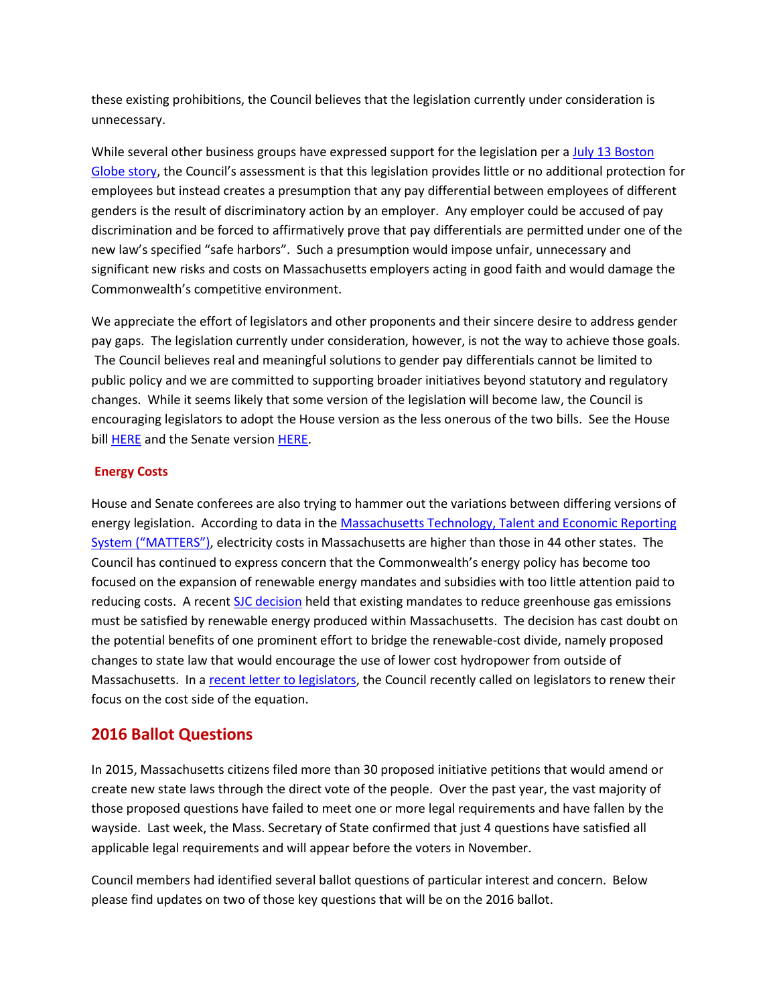these existing prohibitions, the Council believes that the legislation currently under consideration is unnecessary.

While several other business groups have expressed support for the legislation per a July 13 Boston [Globe story,](http://www.mhtc.org/equal-pay-bill-takes-another-step-toward-passing/) the Council's assessment is that this legislation provides little or no additional protection for employees but instead creates a presumption that any pay differential between employees of different genders is the result of discriminatory action by an employer. Any employer could be accused of pay discrimination and be forced to affirmatively prove that pay differentials are permitted under one of the new law's specified "safe harbors". Such a presumption would impose unfair, unnecessary and significant new risks and costs on Massachusetts employers acting in good faith and would damage the Commonwealth's competitive environment.

We appreciate the effort of legislators and other proponents and their sincere desire to address gender pay gaps. The legislation currently under consideration, however, is not the way to achieve those goals. The Council believes real and meaningful solutions to gender pay differentials cannot be limited to public policy and we are committed to supporting broader initiatives beyond statutory and regulatory changes. While it seems likely that some version of the legislation will become law, the Council is encouraging legislators to adopt the House version as the less onerous of the two bills. See the House bill **HERE** and the Senate version [HERE](https://malegislature.gov/Bills/189/House/H4509/History).

#### **Energy Costs**

House and Senate conferees are also trying to hammer out the variations between differing versions of energy legislation. According to data in the Massachusetts Technology, Talent and Economic Reporting [System \("MATTERS"\)](http://matters.mhtc.org/explore), electricity costs in Massachusetts are higher than those in 44 other states. The Council has continued to express concern that the Commonwealth's energy policy has become too focused on the expansion of renewable energy mandates and subsidies with too little attention paid to reducing costs. A recent [SJC decision](https://www.lexisnexis.com/clients/macourts/) held that existing mandates to reduce greenhouse gas emissions must be satisfied by renewable energy produced within Massachusetts. The decision has cast doubt on the potential benefits of one prominent effort to bridge the renewable-cost divide, namely proposed changes to state law that would encourage the use of lower cost hydropower from outside of Massachusetts. In [a recent letter to legislators,](http://www.mhtc.org/wp-content/uploads/2016/07/Coalition-Letter-to-Energy-Conference-Committee_07152016.pdf) the Council recently called on legislators to renew their focus on the cost side of the equation.

## **2016 Ballot Questions**

In 2015, Massachusetts citizens filed more than 30 proposed initiative petitions that would amend or create new state laws through the direct vote of the people. Over the past year, the vast majority of those proposed questions have failed to meet one or more legal requirements and have fallen by the wayside. Last week, the Mass. Secretary of State confirmed that just 4 questions have satisfied all applicable legal requirements and will appear before the voters in November.

Council members had identified several ballot questions of particular interest and concern. Below please find updates on two of those key questions that will be on the 2016 ballot.